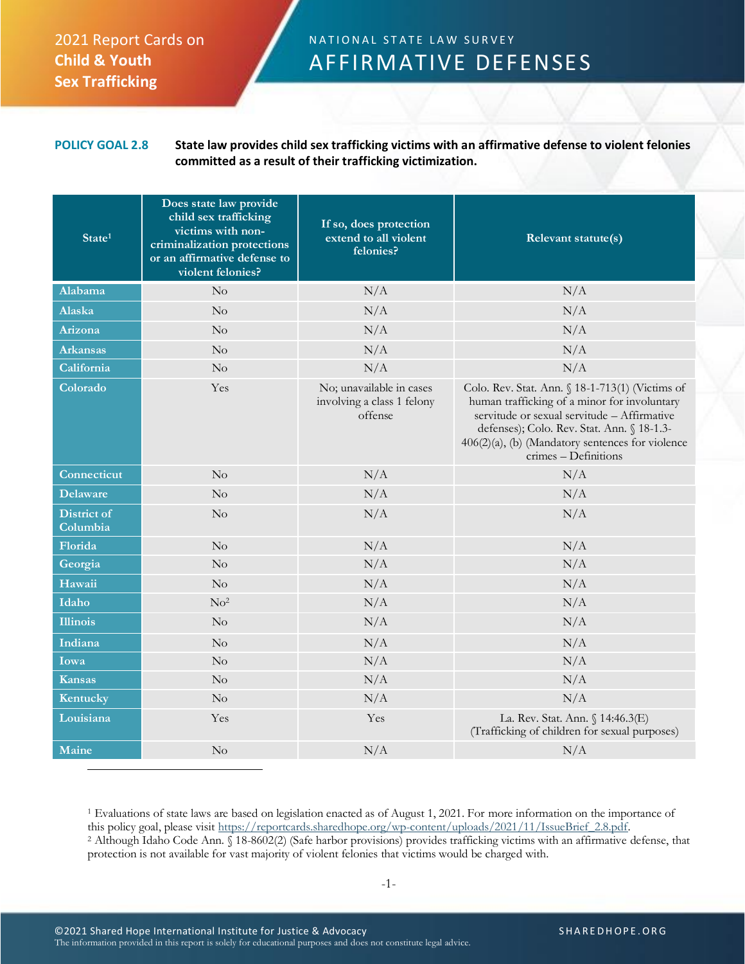## 2021 Report Cards on **Child & Youth Sex Trafficking**

## N A T I O N A L STATE LAW SURVEY AFFIRMATIVE DEFENSES

**POLICY GOAL 2.8 State law provides child sex trafficking victims with an affirmative defense to violent felonies committed as a result of their trafficking victimization.**

| State <sup>1</sup>             | Does state law provide<br>child sex trafficking<br>victims with non-<br>criminalization protections<br>or an affirmative defense to<br>violent felonies? | If so, does protection<br>extend to all violent<br>felonies?      | Relevant statute(s)                                                                                                                                                                                                                                                         |
|--------------------------------|----------------------------------------------------------------------------------------------------------------------------------------------------------|-------------------------------------------------------------------|-----------------------------------------------------------------------------------------------------------------------------------------------------------------------------------------------------------------------------------------------------------------------------|
| Alabama                        | $\rm No$                                                                                                                                                 | N/A                                                               | N/A                                                                                                                                                                                                                                                                         |
| Alaska                         | $\rm No$                                                                                                                                                 | N/A                                                               | N/A                                                                                                                                                                                                                                                                         |
| Arizona                        | $\rm No$                                                                                                                                                 | N/A                                                               | N/A                                                                                                                                                                                                                                                                         |
| <b>Arkansas</b>                | No                                                                                                                                                       | N/A                                                               | N/A                                                                                                                                                                                                                                                                         |
| California                     | $\rm No$                                                                                                                                                 | N/A                                                               | N/A                                                                                                                                                                                                                                                                         |
| Colorado                       | Yes                                                                                                                                                      | No; unavailable in cases<br>involving a class 1 felony<br>offense | Colo. Rev. Stat. Ann. § 18-1-713(1) (Victims of<br>human trafficking of a minor for involuntary<br>servitude or sexual servitude - Affirmative<br>defenses); Colo. Rev. Stat. Ann. § 18-1.3-<br>$406(2)(a)$ , (b) (Mandatory sentences for violence<br>crimes - Definitions |
| Connecticut                    | $\rm No$                                                                                                                                                 | N/A                                                               | N/A                                                                                                                                                                                                                                                                         |
| <b>Delaware</b>                | $\rm No$                                                                                                                                                 | N/A                                                               | N/A                                                                                                                                                                                                                                                                         |
| <b>District of</b><br>Columbia | $\rm No$                                                                                                                                                 | N/A                                                               | N/A                                                                                                                                                                                                                                                                         |
| Florida                        | $\rm No$                                                                                                                                                 | N/A                                                               | N/A                                                                                                                                                                                                                                                                         |
| Georgia                        | No                                                                                                                                                       | N/A                                                               | N/A                                                                                                                                                                                                                                                                         |
| Hawaii                         | $\rm No$                                                                                                                                                 | N/A                                                               | N/A                                                                                                                                                                                                                                                                         |
| Idaho                          | No <sup>2</sup>                                                                                                                                          | N/A                                                               | N/A                                                                                                                                                                                                                                                                         |
| <b>Illinois</b>                | $\rm No$                                                                                                                                                 | N/A                                                               | N/A                                                                                                                                                                                                                                                                         |
| Indiana                        | $\rm No$                                                                                                                                                 | N/A                                                               | N/A                                                                                                                                                                                                                                                                         |
| Iowa                           | $\rm No$                                                                                                                                                 | N/A                                                               | N/A                                                                                                                                                                                                                                                                         |
| <b>Kansas</b>                  | $\rm No$                                                                                                                                                 | N/A                                                               | N/A                                                                                                                                                                                                                                                                         |
| Kentucky                       | No                                                                                                                                                       | N/A                                                               | N/A                                                                                                                                                                                                                                                                         |
| Louisiana                      | Yes                                                                                                                                                      | Yes                                                               | La. Rev. Stat. Ann. § 14:46.3(E)<br>(Trafficking of children for sexual purposes)                                                                                                                                                                                           |
| Maine                          | No                                                                                                                                                       | N/A                                                               | N/A                                                                                                                                                                                                                                                                         |

<sup>1</sup> Evaluations of state laws are based on legislation enacted as of August 1, 2021. For more information on the importance of this policy goal, please visit [https://reportcards.sharedhope.org/wp-content/uploads/2021/11/IssueBrief\\_2.8.pdf.](https://reportcards.sharedhope.org/wp-content/uploads/2021/11/IssueBrief_2.8.pdf) <sup>2</sup> Although Idaho Code Ann. § 18-8602(2) (Safe harbor provisions) provides trafficking victims with an affirmative defense, that protection is not available for vast majority of violent felonies that victims would be charged with.

-1-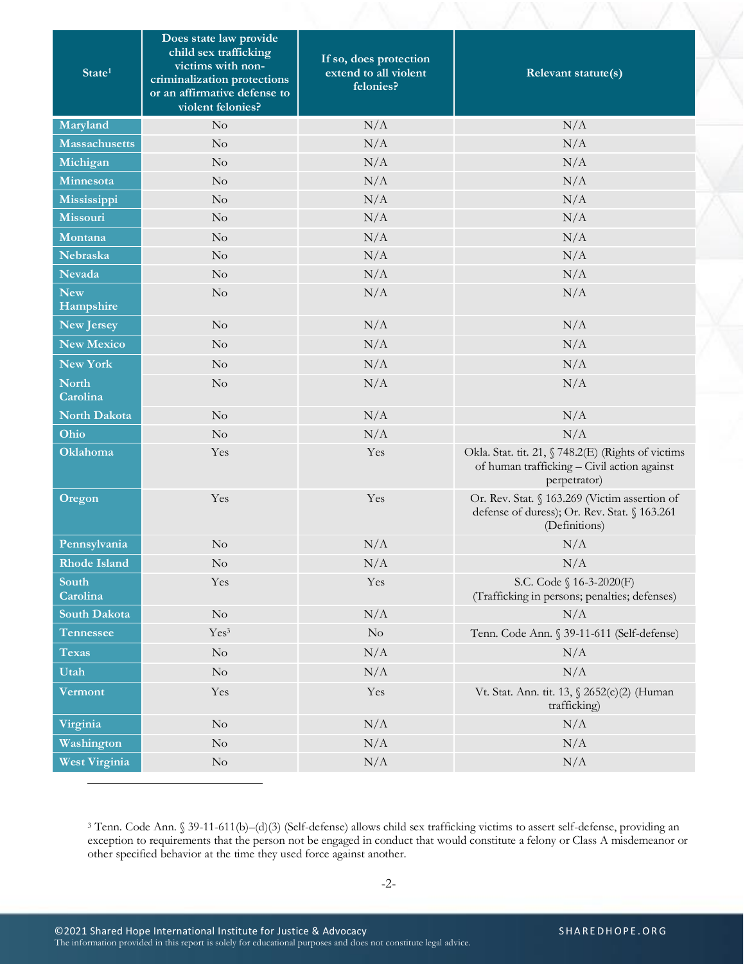| State <sup>1</sup>       | Does state law provide<br>child sex trafficking<br>victims with non-<br>criminalization protections<br>or an affirmative defense to<br>violent felonies? | If so, does protection<br>extend to all violent<br>felonies? | Relevant statute(s)                                                                                               |  |
|--------------------------|----------------------------------------------------------------------------------------------------------------------------------------------------------|--------------------------------------------------------------|-------------------------------------------------------------------------------------------------------------------|--|
| Maryland                 | $\rm No$                                                                                                                                                 | N/A                                                          | N/A                                                                                                               |  |
| <b>Massachusetts</b>     | $\rm No$                                                                                                                                                 | N/A                                                          | N/A                                                                                                               |  |
| Michigan                 | $\rm No$                                                                                                                                                 | N/A                                                          | N/A                                                                                                               |  |
| Minnesota                | $\rm No$                                                                                                                                                 | N/A                                                          | N/A                                                                                                               |  |
| Mississippi              | No                                                                                                                                                       | N/A                                                          | N/A                                                                                                               |  |
| Missouri                 | $\rm No$                                                                                                                                                 | N/A                                                          | N/A                                                                                                               |  |
| Montana                  | No                                                                                                                                                       | N/A                                                          | N/A                                                                                                               |  |
| <b>Nebraska</b>          | No                                                                                                                                                       | N/A                                                          | N/A                                                                                                               |  |
| Nevada                   | $\rm No$                                                                                                                                                 | N/A                                                          | N/A                                                                                                               |  |
| <b>New</b><br>Hampshire  | No                                                                                                                                                       | N/A                                                          | N/A                                                                                                               |  |
| New Jersey               | $\rm No$                                                                                                                                                 | N/A                                                          | N/A                                                                                                               |  |
| <b>New Mexico</b>        | $\rm No$                                                                                                                                                 | N/A                                                          | N/A                                                                                                               |  |
| New York                 | $\rm No$                                                                                                                                                 | N/A                                                          | N/A                                                                                                               |  |
| <b>North</b><br>Carolina | $\rm No$                                                                                                                                                 | N/A                                                          | N/A                                                                                                               |  |
| North Dakota             | $\rm No$                                                                                                                                                 | N/A                                                          | N/A                                                                                                               |  |
| Ohio                     | $\rm No$                                                                                                                                                 | N/A                                                          | N/A                                                                                                               |  |
| Oklahoma                 | Yes                                                                                                                                                      | Yes                                                          | Okla. Stat. tit. 21, § 748.2(E) (Rights of victims<br>of human trafficking - Civil action against<br>perpetrator) |  |
| Oregon                   | Yes                                                                                                                                                      | Yes                                                          | Or. Rev. Stat. § 163.269 (Victim assertion of<br>defense of duress); Or. Rev. Stat. § 163.261<br>(Definitions)    |  |
| Pennsylvania             | No                                                                                                                                                       | N/A                                                          | N/A                                                                                                               |  |
| <b>Rhode Island</b>      | $\rm No$                                                                                                                                                 | N/A                                                          | N/A                                                                                                               |  |
| South<br>Carolina        | Yes                                                                                                                                                      | Yes                                                          | S.C. Code § 16-3-2020(F)<br>(Trafficking in persons; penalties; defenses)                                         |  |
| South Dakota             | $\rm No$                                                                                                                                                 | N/A                                                          | N/A                                                                                                               |  |
| Tennessee                | Yes <sup>3</sup>                                                                                                                                         | No                                                           | Tenn. Code Ann. § 39-11-611 (Self-defense)                                                                        |  |
| <b>Texas</b>             | $\rm No$                                                                                                                                                 | N/A                                                          | N/A                                                                                                               |  |
| Utah                     | $\rm No$                                                                                                                                                 | N/A                                                          | N/A                                                                                                               |  |
| Vermont                  | Yes                                                                                                                                                      | Yes                                                          | Vt. Stat. Ann. tit. 13, § 2652(c)(2) (Human<br>trafficking)                                                       |  |
| Virginia                 | $\rm No$                                                                                                                                                 | N/A                                                          | N/A                                                                                                               |  |
| Washington               | $\rm No$                                                                                                                                                 | N/A                                                          | N/A                                                                                                               |  |
| West Virginia            | $\rm No$                                                                                                                                                 | N/A                                                          | N/A                                                                                                               |  |

<sup>3</sup> Tenn. Code Ann. § 39-11-611(b)–(d)(3) (Self-defense) allows child sex trafficking victims to assert self-defense, providing an exception to requirements that the person not be engaged in conduct that would constitute a felony or Class A misdemeanor or other specified behavior at the time they used force against another.